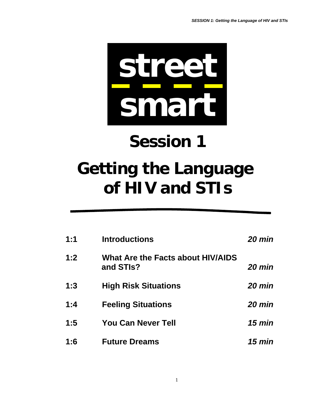

# **Session 1**

## **Getting the Language of HIV and STIs**

| 1:1 | <b>Introductions</b>                           | $20 \text{ min}$ |
|-----|------------------------------------------------|------------------|
| 1:2 | What Are the Facts about HIV/AIDS<br>and STIs? | <b>20 min</b>    |
| 1:3 | <b>High Risk Situations</b>                    | <b>20 min</b>    |
| 1:4 | <b>Feeling Situations</b>                      | $20$ min         |
| 1:5 | <b>You Can Never Tell</b>                      | $15 \text{ min}$ |
| 1:6 | <b>Future Dreams</b>                           | 15 min           |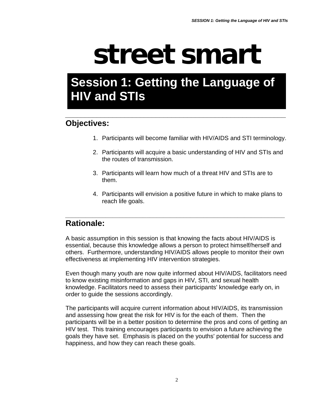# **street smart**

### **Session 1: Getting the Language of HIV and STIs**

*\_\_\_\_\_\_\_\_\_\_\_\_\_\_\_\_\_\_\_\_\_\_\_\_\_\_\_\_\_\_\_\_\_\_\_\_\_\_\_\_\_\_\_\_\_\_\_\_\_\_\_\_\_\_\_\_* 

#### **Objectives:**

- 1. Participants will become familiar with HIV/AIDS and STI terminology.
- 2. Participants will acquire a basic understanding of HIV and STIs and the routes of transmission.
- 3. Participants will learn how much of a threat HIV and STIs are to them.
- 4. Participants will envision a positive future in which to make plans to reach life goals.

#### *\_\_\_\_\_\_\_\_\_\_\_\_\_\_\_\_\_\_\_\_\_\_\_\_\_\_\_\_\_\_\_\_\_\_\_\_\_\_\_\_\_\_\_\_\_\_\_\_\_\_\_\_\_\_\_\_\_\_\_\_\_\_\_\_\_* **Rationale:**

A basic assumption in this session is that knowing the facts about HIV/AIDS is essential, because this knowledge allows a person to protect himself/herself and others. Furthermore, understanding HIV/AIDS allows people to monitor their own effectiveness at implementing HIV intervention strategies.

Even though many youth are now quite informed about HIV/AIDS, facilitators need to know existing misinformation and gaps in HIV, STI, and sexual health knowledge. Facilitators need to assess their participants' knowledge early on, in order to guide the sessions accordingly.

The participants will acquire current information about HIV/AIDS, its transmission and assessing how great the risk for HIV is for the each of them. Then the participants will be in a better position to determine the pros and cons of getting an HIV test. This training encourages participants to envision a future achieving the goals they have set. Emphasis is placed on the youths' potential for success and happiness, and how they can reach these goals.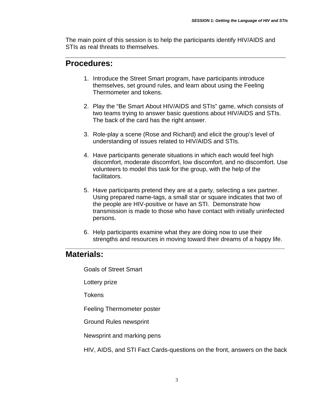The main point of this session is to help the participants identify HIV/AIDS and STIs as real threats to themselves.

*\_\_\_\_\_\_\_\_\_\_\_\_\_\_\_\_\_\_\_\_\_\_\_\_\_\_\_\_\_\_\_\_\_\_\_\_\_\_\_\_\_\_\_\_\_\_\_\_\_\_\_\_\_\_\_\_* 

#### **Procedures:**

- 1. Introduce the Street Smart program, have participants introduce themselves, set ground rules, and learn about using the Feeling Thermometer and tokens.
- 2. Play the "Be Smart About HIV/AIDS and STIs" game, which consists of two teams trying to answer basic questions about HIV/AIDS and STIs. The back of the card has the right answer.
- 3. Role-play a scene (Rose and Richard) and elicit the group's level of understanding of issues related to HIV/AIDS and STIs.
- 4. Have participants generate situations in which each would feel high discomfort, moderate discomfort, low discomfort, and no discomfort. Use volunteers to model this task for the group, with the help of the facilitators.
- 5. Have participants pretend they are at a party, selecting a sex partner. Using prepared name-tags, a small star or square indicates that two of the people are HIV-positive or have an STI. Demonstrate how transmission is made to those who have contact with initially uninfected persons.
- 6. Help participants examine what they are doing now to use their strengths and resources in moving toward their dreams of a happy life.

*\_\_\_\_\_\_\_\_\_\_\_\_\_\_\_\_\_\_\_\_\_\_\_\_\_\_\_\_\_\_\_\_\_\_\_\_\_\_\_\_\_\_\_\_\_\_\_\_\_\_\_\_\_\_\_\_\_\_\_\_\_\_\_\_\_* 

#### **Materials:**

Goals of Street Smart

Lottery prize

**Tokens** 

Feeling Thermometer poster

Ground Rules newsprint

Newsprint and marking pens

HIV, AIDS, and STI Fact Cards-questions on the front, answers on the back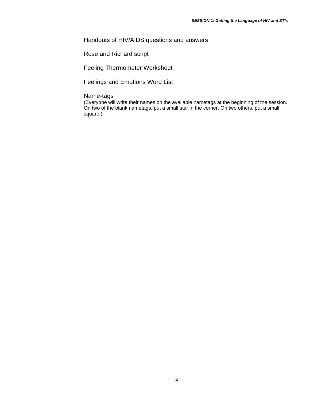#### Handouts of HIV/AIDS questions and answers

Rose and Richard script

Feeling Thermometer Worksheet

Feelings and Emotions Word List

#### Name-tags

(Everyone will write their names on the available nametags at the beginning of the session. On two of the blank nametags, put a small star in the corner. On two others, put a small square.)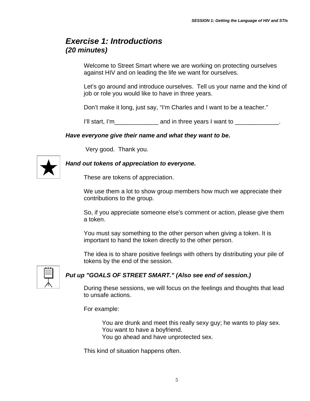#### *Exercise 1: Introductions (20 minutes)*

Welcome to Street Smart where we are working on protecting ourselves against HIV and on leading the life we want for ourselves.

Let's go around and introduce ourselves. Tell us your name and the kind of job or role you would like to have in three years.

Don't make it long, just say, "I'm Charles and I want to be a teacher."

I'll start, I'm \_\_\_\_\_\_\_\_\_\_\_\_\_\_ and in three years I want to \_\_\_\_\_\_\_\_\_\_\_\_\_.

#### *Have everyone give their name and what they want to be***.**

Very good. Thank you.



#### *Hand out tokens of appreciation to everyone.*

These are tokens of appreciation.

We use them a lot to show group members how much we appreciate their contributions to the group.

So, if you appreciate someone else's comment or action, please give them a token.

You must say something to the other person when giving a token. It is important to hand the token directly to the other person.

The idea is to share positive feelings with others by distributing your pile of tokens by the end of the session.



#### *Put up "GOALS OF STREET SMART." (Also see end of session.)*

During these sessions, we will focus on the feelings and thoughts that lead to unsafe actions.

For example:

You are drunk and meet this really sexy guy; he wants to play sex. You want to have a boyfriend.

You go ahead and have unprotected sex.

This kind of situation happens often.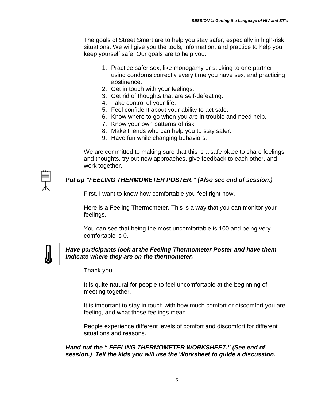The goals of Street Smart are to help you stay safer, especially in high-risk situations. We will give you the tools, information, and practice to help you keep yourself safe. Our goals are to help you:

- 1. Practice safer sex, like monogamy or sticking to one partner, using condoms correctly every time you have sex, and practicing abstinence.
- 2. Get in touch with your feelings.
- 3. Get rid of thoughts that are self-defeating.
- 4. Take control of your life.
- 5. Feel confident about your ability to act safe.
- 6. Know where to go when you are in trouble and need help.
- 7. Know your own patterns of risk.
- 8. Make friends who can help you to stay safer.
- 9. Have fun while changing behaviors.

We are committed to making sure that this is a safe place to share feelings and thoughts, try out new approaches, give feedback to each other, and work together.



#### *Put up "FEELING THERMOMETER POSTER." (Also see end of session.)*

First, I want to know how comfortable you feel right now.

Here is a Feeling Thermometer. This is a way that you can monitor your feelings.

You can see that being the most uncomfortable is 100 and being very comfortable is 0.



#### *Have participants look at the Feeling Thermometer Poster and have them indicate where they are on the thermometer.*

Thank you.

It is quite natural for people to feel uncomfortable at the beginning of meeting together.

It is important to stay in touch with how much comfort or discomfort you are feeling, and what those feelings mean.

People experience different levels of comfort and discomfort for different situations and reasons.

*Hand out the " FEELING THERMOMETER WORKSHEET." (See end of session.) Tell the kids you will use the Worksheet to guide a discussion.*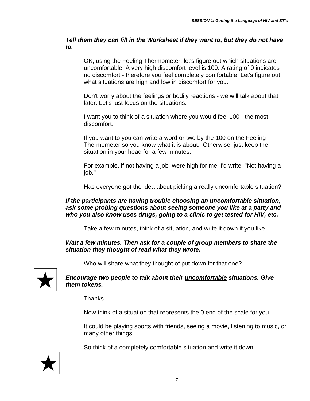*Tell them they can fill in the Worksheet if they want to, but they do not have to.* 

OK, using the Feeling Thermometer, let's figure out which situations are uncomfortable. A very high discomfort level is 100. A rating of 0 indicates no discomfort - therefore you feel completely comfortable. Let's figure out what situations are high and low in discomfort for you.

Don't worry about the feelings or bodily reactions - we will talk about that later. Let's just focus on the situations.

I want you to think of a situation where you would feel 100 - the most discomfort.

If you want to you can write a word or two by the 100 on the Feeling Thermometer so you know what it is about. Otherwise, just keep the situation in your head for a few minutes.

For example, if not having a job were high for me, I'd write, "Not having a job."

Has everyone got the idea about picking a really uncomfortable situation?

#### *If the participants are having trouble choosing an uncomfortable situation, ask some probing questions about seeing someone you like at a party and who you also know uses drugs, going to a clinic to get tested for HIV, etc.*

Take a few minutes, think of a situation, and write it down if you like.

#### *Wait a few minutes. Then ask for a couple of group members to share the situation they thought of read what they wrote.*

Who will share what they thought of put down for that one?



#### *Encourage two people to talk about their uncomfortable situations. Give them tokens.*

Thanks.

Now think of a situation that represents the 0 end of the scale for you.

It could be playing sports with friends, seeing a movie, listening to music, or many other things.

So think of a completely comfortable situation and write it down.

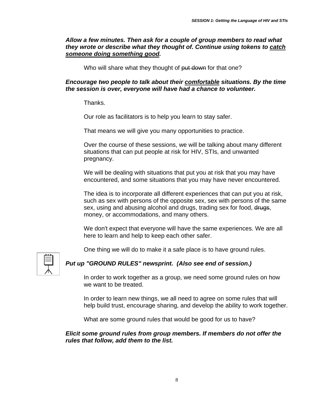*Allow a few minutes. Then ask for a couple of group members to read what they wrote or describe what they thought of. Continue using tokens to catch someone doing something good.* 

Who will share what they thought of put down for that one?

*Encourage two people to talk about their comfortable situations. By the time the session is over, everyone will have had a chance to volunteer.* 

Thanks.

Our role as facilitators is to help you learn to stay safer.

That means we will give you many opportunities to practice.

Over the course of these sessions, we will be talking about many different situations that can put people at risk for HIV, STIs, and unwanted pregnancy.

We will be dealing with situations that put you at risk that you may have encountered, and some situations that you may have never encountered.

The idea is to incorporate all different experiences that can put you at risk, such as sex with persons of the opposite sex, sex with persons of the same sex, using and abusing alcohol and drugs, trading sex for food, drugs, money, or accommodations, and many others.

We don't expect that everyone will have the same experiences. We are all here to learn and help to keep each other safer.

One thing we will do to make it a safe place is to have ground rules.



#### *Put up "GROUND RULES" newsprint. (Also see end of session.)*

In order to work together as a group, we need some ground rules on how we want to be treated.

In order to learn new things, we all need to agree on some rules that will help build trust, encourage sharing, and develop the ability to work together.

What are some ground rules that would be good for us to have?

#### *Elicit some ground rules from group members. If members do not offer the rules that follow, add them to the list.*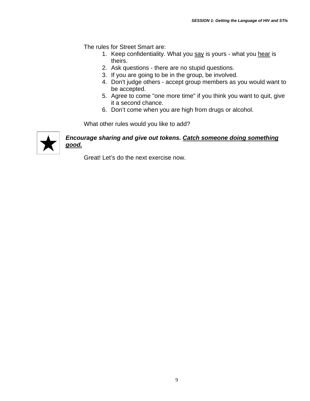The rules for Street Smart are:

- 1. Keep confidentiality. What you say is yours what you hear is theirs.
- 2. Ask questions there are no stupid questions.
- 3. If you are going to be in the group, be involved.
- 4. Don't judge others accept group members as you would want to be accepted.
- 5. Agree to come "one more time" if you think you want to quit, give it a second chance.
- 6. Don't come when you are high from drugs or alcohol.

What other rules would you like to add?



#### *Encourage sharing and give out tokens. Catch someone doing something good.*

Great! Let's do the next exercise now.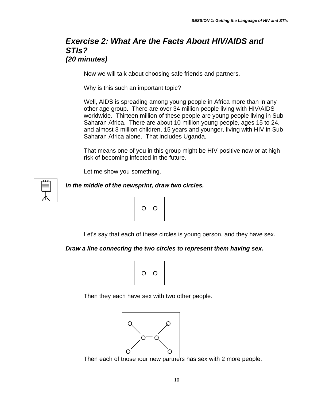#### *Exercise 2: What Are the Facts About HIV/AIDS and STIs? (20 minutes)*

Now we will talk about choosing safe friends and partners.

Why is this such an important topic?

Well, AIDS is spreading among young people in Africa more than in any other age group. There are over 34 million people living with HIV/AIDS worldwide. Thirteen million of these people are young people living in Sub-Saharan Africa. There are about 10 million young people, ages 15 to 24, and almost 3 million children, 15 years and younger, living with HIV in Sub-Saharan Africa alone. That includes Uganda.

That means one of you in this group might be HIV-positive now or at high risk of becoming infected in the future.

Let me show you something.



*In the middle of the newsprint, draw two circles.* 



Let's say that each of these circles is young person, and they have sex.

#### *Draw a line connecting the two circles to represent them having sex.*



Then they each have sex with two other people.



Then each of those four new partners has sex with 2 more people.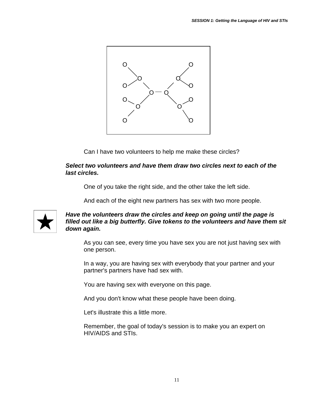

Can I have two volunteers to help me make these circles?

#### *Select two volunteers and have them draw two circles next to each of the last circles.*

One of you take the right side, and the other take the left side.

And each of the eight new partners has sex with two more people.



#### *Have the volunteers draw the circles and keep on going until the page is filled out like a big butterfly. Give tokens to the volunteers and have them sit down again.*

As you can see, every time you have sex you are not just having sex with one person.

In a way, you are having sex with everybody that your partner and your partner's partners have had sex with.

You are having sex with everyone on this page.

And you don't know what these people have been doing.

Let's illustrate this a little more.

Remember, the goal of today's session is to make you an expert on HIV/AIDS and STIs.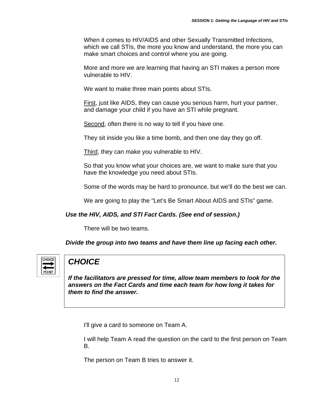When it comes to HIV/AIDS and other Sexually Transmitted Infections, which we call STIs, the more you know and understand, the more you can make smart choices and control where you are going.

More and more we are learning that having an STI makes a person more vulnerable to HIV.

We want to make three main points about STIs.

First, just like AIDS, they can cause you serious harm, hurt your partner, and damage your child if you have an STI while pregnant.

Second, often there is no way to tell if you have one.

They sit inside you like a time bomb, and then one day they go off.

Third, they can make you vulnerable to HIV.

So that you know what your choices are, we want to make sure that you have the knowledge you need about STIs.

Some of the words may be hard to pronounce, but we'll do the best we can.

We are going to play the "Let's Be Smart About AIDS and STIs" game.

#### *Use the HIV, AIDS, and STI Fact Cards. (See end of session.)*

There will be two teams.

*Divide the group into two teams and have them line up facing each other.* 



#### *CHOICE*

*If the facilitators are pressed for time, allow team members to look for the answers on the Fact Cards and time each team for how long it takes for them to find the answer.*

I'll give a card to someone on Team A.

I will help Team A read the question on the card to the first person on Team B.

The person on Team B tries to answer it.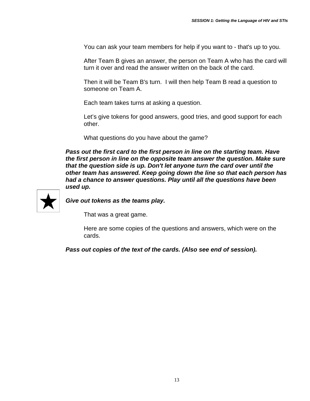You can ask your team members for help if you want to - that's up to you.

After Team B gives an answer, the person on Team A who has the card will turn it over and read the answer written on the back of the card.

Then it will be Team B's turn. I will then help Team B read a question to someone on Team A.

Each team takes turns at asking a question.

Let's give tokens for good answers, good tries, and good support for each other.

What questions do you have about the game?

*Pass out the first card to the first person in line on the starting team. Have the first person in line on the opposite team answer the question. Make sure that the question side is up. Don't let anyone turn the card over until the other team has answered. Keep going down the line so that each person has had a chance to answer questions. Play until all the questions have been used up.* 



*Give out tokens as the teams play.*

That was a great game.

Here are some copies of the questions and answers, which were on the cards.

*Pass out copies of the text of the cards. (Also see end of session).*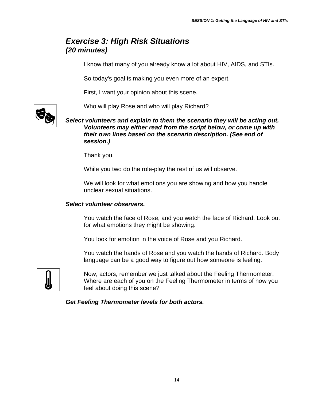#### *Exercise 3: High Risk Situations (20 minutes)*

I know that many of you already know a lot about HIV, AIDS, and STIs.

So today's goal is making you even more of an expert.

First, I want your opinion about this scene.

Who will play Rose and who will play Richard?

*Select volunteers and explain to them the scenario they will be acting out. Volunteers may either read from the script below, or come up with their own lines based on the scenario description. (See end of session.)* 

Thank you.

While you two do the role-play the rest of us will observe.

We will look for what emotions you are showing and how you handle unclear sexual situations.

#### *Select volunteer observers.*

You watch the face of Rose, and you watch the face of Richard. Look out for what emotions they might be showing.

You look for emotion in the voice of Rose and you Richard.

You watch the hands of Rose and you watch the hands of Richard. Body language can be a good way to figure out how someone is feeling.



Now, actors, remember we just talked about the Feeling Thermometer. Where are each of you on the Feeling Thermometer in terms of how you feel about doing this scene?

*Get Feeling Thermometer levels for both actors.*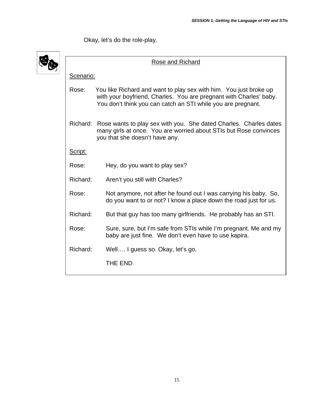Okay, let's do the role-play.

| Rose and Richard |                                                                                                                                                                                                         |  |  |  |  |  |
|------------------|---------------------------------------------------------------------------------------------------------------------------------------------------------------------------------------------------------|--|--|--|--|--|
| Scenario:        |                                                                                                                                                                                                         |  |  |  |  |  |
| Rose:            | You like Richard and want to play sex with him. You just broke up<br>with your boyfriend, Charles. You are pregnant with Charles' baby.<br>You don't think you can catch an STI while you are pregnant. |  |  |  |  |  |
|                  | Richard: Rose wants to play sex with you. She dated Charles. Charles dates<br>many girls at once. You are worried about STIs but Rose convinces<br>you that she doesn't have any.                       |  |  |  |  |  |
| Script:          |                                                                                                                                                                                                         |  |  |  |  |  |
| Rose:            | Hey, do you want to play sex?                                                                                                                                                                           |  |  |  |  |  |
| Richard:         | Aren't you still with Charles?                                                                                                                                                                          |  |  |  |  |  |
| Rose:            | Not anymore, not after he found out I was carrying his baby. So,<br>do you want to or not? I know a place down the road just for us.                                                                    |  |  |  |  |  |
| Richard:         | But that guy has too many girlfriends. He probably has an STI.                                                                                                                                          |  |  |  |  |  |
| Rose:            | Sure, sure, but I'm safe from STIs while I'm pregnant. Me and my<br>baby are just fine. We don't even have to use kapira.                                                                               |  |  |  |  |  |
| Richard:         | Well I guess so. Okay, let's go.                                                                                                                                                                        |  |  |  |  |  |
|                  | THE END                                                                                                                                                                                                 |  |  |  |  |  |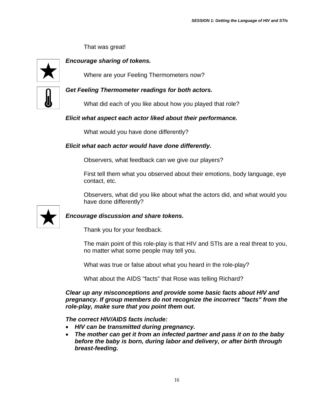That was great!



*Encourage sharing of tokens.*

Where are your Feeling Thermometers now?



*Get Feeling Thermometer readings for both actors.* 

What did each of you like about how you played that role?

#### *Elicit what aspect each actor liked about their performance.*

What would you have done differently?

#### *Elicit what each actor would have done differently.*

Observers, what feedback can we give our players?

First tell them what you observed about their emotions, body language, eye contact, etc.

Observers, what did you like about what the actors did, and what would you have done differently?



#### *Encourage discussion and share tokens.*

Thank you for your feedback.

The main point of this role-play is that HIV and STIs are a real threat to you, no matter what some people may tell you.

What was true or false about what you heard in the role-play?

What about the AIDS "facts" that Rose was telling Richard?

*Clear up any misconceptions and provide some basic facts about HIV and pregnancy. If group members do not recognize the incorrect "facts" from the role-play, make sure that you point them out.* 

*The correct HIV/AIDS facts include:* 

- *HIV can be transmitted during pregnancy.*
- *The mother can get it from an infected partner and pass it on to the baby before the baby is born, during labor and delivery, or after birth through breast-feeding.*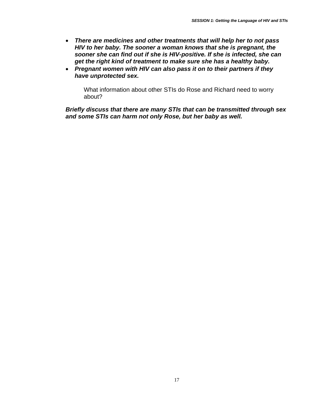- *There are medicines and other treatments that will help her to not pass HIV to her baby. The sooner a woman knows that she is pregnant, the sooner she can find out if she is HIV-positive. If she is infected, she can get the right kind of treatment to make sure she has a healthy baby.*
- *Pregnant women with HIV can also pass it on to their partners if they have unprotected sex.*

What information about other STIs do Rose and Richard need to worry about?

*Briefly discuss that there are many STIs that can be transmitted through sex and some STIs can harm not only Rose, but her baby as well.*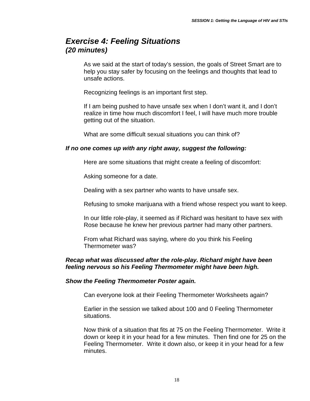#### *Exercise 4: Feeling Situations (20 minutes)*

As we said at the start of today's session, the goals of Street Smart are to help you stay safer by focusing on the feelings and thoughts that lead to unsafe actions.

Recognizing feelings is an important first step.

If I am being pushed to have unsafe sex when I don't want it, and I don't realize in time how much discomfort I feel, I will have much more trouble getting out of the situation.

What are some difficult sexual situations you can think of?

#### *If no one comes up with any right away, suggest the following:*

Here are some situations that might create a feeling of discomfort:

Asking someone for a date.

Dealing with a sex partner who wants to have unsafe sex.

Refusing to smoke marijuana with a friend whose respect you want to keep.

In our little role-play, it seemed as if Richard was hesitant to have sex with Rose because he knew her previous partner had many other partners.

From what Richard was saying, where do you think his Feeling Thermometer was?

#### *Recap what was discussed after the role-play. Richard might have been feeling nervous so his Feeling Thermometer might have been high.*

#### *Show the Feeling Thermometer Poster again.*

Can everyone look at their Feeling Thermometer Worksheets again?

Earlier in the session we talked about 100 and 0 Feeling Thermometer situations.

Now think of a situation that fits at 75 on the Feeling Thermometer. Write it down or keep it in your head for a few minutes. Then find one for 25 on the Feeling Thermometer. Write it down also, or keep it in your head for a few minutes.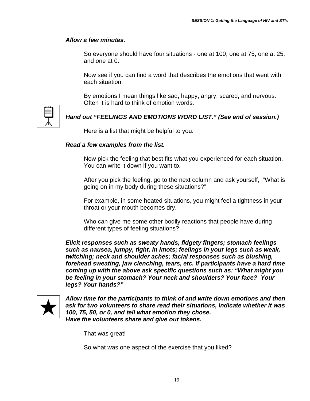#### *Allow a few minutes.*

So everyone should have four situations - one at 100, one at 75, one at 25, and one at 0.

Now see if you can find a word that describes the emotions that went with each situation.

By emotions I mean things like sad, happy, angry, scared, and nervous. Often it is hard to think of emotion words.



#### *Hand out "FEELINGS AND EMOTIONS WORD LIST." (See end of session.)*

Here is a list that might be helpful to you.

#### *Read a few examples from the list.*

Now pick the feeling that best fits what you experienced for each situation. You can write it down if you want to.

After you pick the feeling, go to the next column and ask yourself, "What is going on in my body during these situations?"

For example, in some heated situations, you might feel a tightness in your throat or your mouth becomes dry.

Who can give me some other bodily reactions that people have during different types of feeling situations?

*Elicit responses such as sweaty hands, fidgety fingers; stomach feelings such as nausea, jumpy, tight, in knots; feelings in your legs such as weak, twitching; neck and shoulder aches; facial responses such as blushing, forehead sweating, jaw clenching, tears, etc. If participants have a hard time coming up with the above ask specific questions such as: "What might you be feeling in your stomach? Your neck and shoulders? Your face? Your legs? Your hands?"* 



*Allow time for the participants to think of and write down emotions and then ask for two volunteers to share read their situations, indicate whether it was 100, 75, 50, or 0, and tell what emotion they chose. Have the volunteers share and give out tokens.* 

That was great!

So what was one aspect of the exercise that you liked?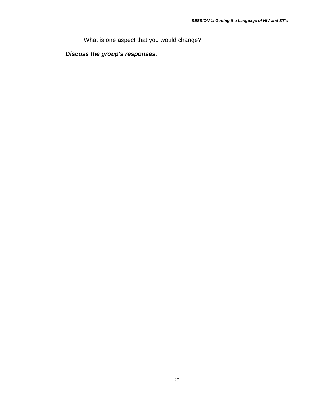What is one aspect that you would change?

*Discuss the group's responses.*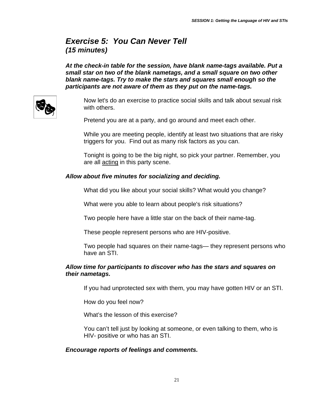#### *Exercise 5: You Can Never Tell (15 minutes)*

*At the check-in table for the session, have blank name-tags available. Put a small star on two of the blank nametags, and a small square on two other blank name-tags. Try to make the stars and squares small enough so the participants are not aware of them as they put on the name-tags.*



Now let's do an exercise to practice social skills and talk about sexual risk with others.

Pretend you are at a party, and go around and meet each other.

While you are meeting people, identify at least two situations that are risky triggers for you. Find out as many risk factors as you can.

Tonight is going to be the big night, so pick your partner. Remember, you are all acting in this party scene.

#### *Allow about five minutes for socializing and deciding.*

What did you like about your social skills? What would you change?

What were you able to learn about people's risk situations?

Two people here have a little star on the back of their name-tag.

These people represent persons who are HIV-positive.

Two people had squares on their name-tags— they represent persons who have an STI.

#### *Allow time for participants to discover who has the stars and squares on their nametags.*

If you had unprotected sex with them, you may have gotten HIV or an STI.

How do you feel now?

What's the lesson of this exercise?

You can't tell just by looking at someone, or even talking to them, who is HIV- positive or who has an STI.

#### *Encourage reports of feelings and comments.*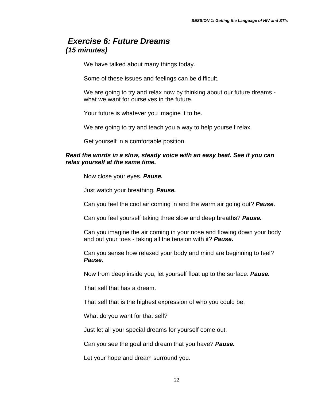#### *Exercise 6: Future Dreams (15 minutes)*

We have talked about many things today.

Some of these issues and feelings can be difficult.

We are going to try and relax now by thinking about our future dreams what we want for ourselves in the future.

Your future is whatever you imagine it to be.

We are going to try and teach you a way to help yourself relax.

Get yourself in a comfortable position.

#### *Read the words in a slow, steady voice with an easy beat. See if you can relax yourself at the same time.*

Now close your eyes. *Pause.* 

Just watch your breathing. *Pause.*

Can you feel the cool air coming in and the warm air going out? *Pause.*

Can you feel yourself taking three slow and deep breaths? *Pause.*

Can you imagine the air coming in your nose and flowing down your body and out your toes - taking all the tension with it? *Pause.*

Can you sense how relaxed your body and mind are beginning to feel? *Pause.*

Now from deep inside you, let yourself float up to the surface. *Pause.*

That self that has a dream.

That self that is the highest expression of who you could be.

What do you want for that self?

Just let all your special dreams for yourself come out.

Can you see the goal and dream that you have? *Pause.*

Let your hope and dream surround you.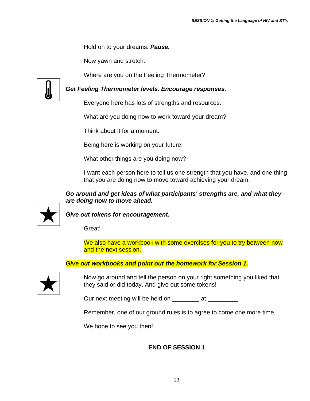Hold on to your dreams. *Pause.*

Now yawn and stretch.

Where are you on the Feeling Thermometer?



*Get Feeling Thermometer levels. Encourage responses.*

Everyone here has lots of strengths and resources.

What are you doing now to work toward your dream?

Think about it for a moment.

Being here is working on your future.

What other things are you doing now?

I want each person here to tell us one strength that you have, and one thing that you are doing now to move toward achieving your dream.

#### *Go around and get ideas of what participants' strengths are, and what they are doing now to move ahead.*



*Give out tokens for encouragement.* 

Great!

We also have a workbook with some exercises for you to try between now and the next session.

#### *Give out workbooks and point out the homework for Session 1.*



Now go around and tell the person on your right something you liked that they said or did today. And give out some tokens!

Our next meeting will be held on \_\_\_\_\_\_\_\_\_ at \_\_\_\_\_\_\_\_.

Remember, one of our ground rules is to agree to come one more time.

We hope to see you then!

#### **END OF SESSION 1**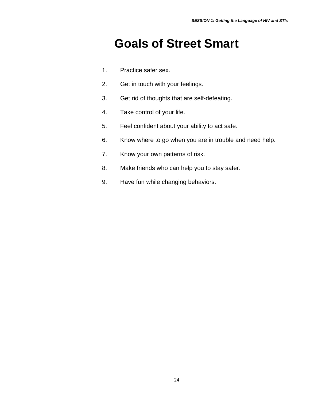### **Goals of Street Smart**

- 1. Practice safer sex.
- 2. Get in touch with your feelings.
- 3. Get rid of thoughts that are self-defeating.
- 4. Take control of your life.
- 5. Feel confident about your ability to act safe.
- 6. Know where to go when you are in trouble and need help.
- 7. Know your own patterns of risk.
- 8. Make friends who can help you to stay safer.
- 9. Have fun while changing behaviors.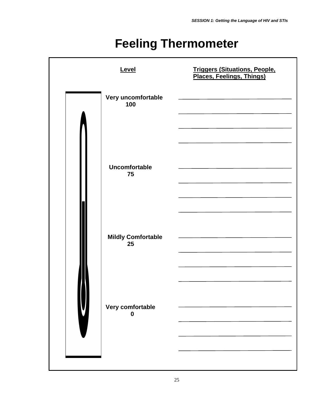### **Feeling Thermometer**

| Level                           | <b>Triggers (Situations, People, Places, Feelings, Things)</b>             |
|---------------------------------|----------------------------------------------------------------------------|
| Very uncomfortable<br>100       | the control of the control of the control of the control of the control of |
| Uncomfortable<br>75             |                                                                            |
| <b>Mildly Comfortable</b><br>25 |                                                                            |
| Very comfortable<br>0           |                                                                            |
|                                 |                                                                            |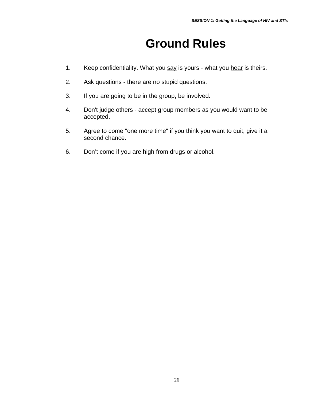### **Ground Rules**

- 1. Keep confidentiality. What you say is yours what you hear is theirs.
- 2. Ask questions there are no stupid questions.
- 3. If you are going to be in the group, be involved.
- 4. Don't judge others accept group members as you would want to be accepted.
- 5. Agree to come "one more time" if you think you want to quit, give it a second chance.
- 6. Don't come if you are high from drugs or alcohol.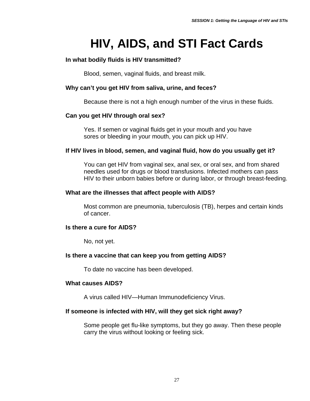### **HIV, AIDS, and STI Fact Cards**

#### **In what bodily fluids is HIV transmitted?**

Blood, semen, vaginal fluids, and breast milk.

#### **Why can't you get HIV from saliva, urine, and feces?**

Because there is not a high enough number of the virus in these fluids.

#### **Can you get HIV through oral sex?**

Yes. If semen or vaginal fluids get in your mouth and you have sores or bleeding in your mouth, you can pick up HIV.

#### **If HIV lives in blood, semen, and vaginal fluid, how do you usually get it?**

You can get HIV from vaginal sex, anal sex, or oral sex, and from shared needles used for drugs or blood transfusions. Infected mothers can pass HIV to their unborn babies before or during labor, or through breast-feeding.

#### **What are the illnesses that affect people with AIDS?**

Most common are pneumonia, tuberculosis (TB), herpes and certain kinds of cancer.

#### **Is there a cure for AIDS?**

No, not yet.

#### **Is there a vaccine that can keep you from getting AIDS?**

To date no vaccine has been developed.

#### **What causes AIDS?**

A virus called HIV—Human Immunodeficiency Virus.

#### **If someone is infected with HIV, will they get sick right away?**

Some people get flu-like symptoms, but they go away. Then these people carry the virus without looking or feeling sick.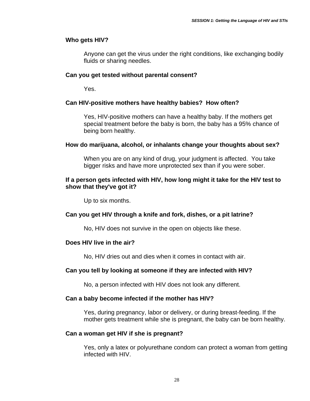#### **Who gets HIV?**

Anyone can get the virus under the right conditions, like exchanging bodily fluids or sharing needles.

#### **Can you get tested without parental consent?**

Yes.

#### **Can HIV-positive mothers have healthy babies? How often?**

Yes, HIV-positive mothers can have a healthy baby. If the mothers get special treatment before the baby is born, the baby has a 95% chance of being born healthy.

#### **How do marijuana, alcohol, or inhalants change your thoughts about sex?**

When you are on any kind of drug, your judgment is affected. You take bigger risks and have more unprotected sex than if you were sober.

#### **If a person gets infected with HIV, how long might it take for the HIV test to show that they've got it?**

Up to six months.

#### **Can you get HIV through a knife and fork, dishes, or a pit latrine?**

No, HIV does not survive in the open on objects like these.

#### **Does HIV live in the air?**

No, HIV dries out and dies when it comes in contact with air.

#### **Can you tell by looking at someone if they are infected with HIV?**

No, a person infected with HIV does not look any different.

#### **Can a baby become infected if the mother has HIV?**

Yes, during pregnancy, labor or delivery, or during breast-feeding. If the mother gets treatment while she is pregnant, the baby can be born healthy.

#### **Can a woman get HIV if she is pregnant?**

Yes, only a latex or polyurethane condom can protect a woman from getting infected with HIV.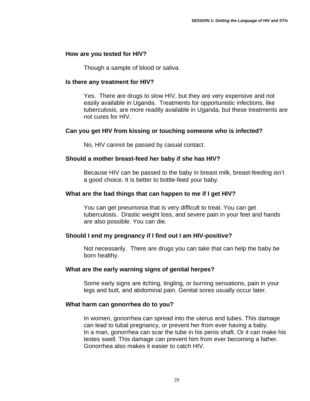#### **How are you tested for HIV?**

Though a sample of blood or saliva.

#### **Is there any treatment for HIV?**

Yes. There are drugs to slow HIV, but they are very expensive and not easily available in Uganda. Treatments for opportunistic infections, like tuberculosis, are more readily available in Uganda, but these treatments are not cures for HIV.

#### **Can you get HIV from kissing or touching someone who is infected?**

No, HIV cannot be passed by casual contact.

#### **Should a mother breast-feed her baby if she has HIV?**

Because HIV can be passed to the baby in breast milk, breast-feeding isn't a good choice. It is better to bottle-feed your baby.

#### **What are the bad things that can happen to me if I get HIV?**

You can get pneumonia that is very difficult to treat. You can get tuberculosis. Drastic weight loss, and severe pain in your feet and hands are also possible. You can die.

#### **Should I end my pregnancy if I find out I am HIV-positive?**

Not necessarily. There are drugs you can take that can help the baby be born healthy.

#### **What are the early warning signs of genital herpes?**

Some early signs are itching, tingling, or burning sensations, pain in your legs and butt, and abdominal pain. Genital sores usually occur later.

#### **What harm can gonorrhea do to you?**

In women, gonorrhea can spread into the uterus and tubes. This damage can lead to tubal pregnancy, or prevent her from ever having a baby. In a man, gonorrhea can scar the tube in his penis shaft. Or it can make his testes swell. This damage can prevent him from ever becoming a father. Gonorrhea also makes it easier to catch HIV.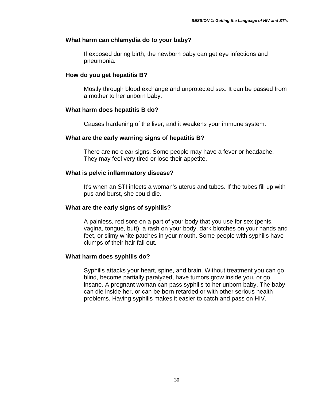#### **What harm can chlamydia do to your baby?**

If exposed during birth, the newborn baby can get eye infections and pneumonia.

#### **How do you get hepatitis B?**

 Mostly through blood exchange and unprotected sex. It can be passed from a mother to her unborn baby.

#### **What harm does hepatitis B do?**

Causes hardening of the liver, and it weakens your immune system.

#### **What are the early warning signs of hepatitis B?**

There are no clear signs. Some people may have a fever or headache. They may feel very tired or lose their appetite.

#### **What is pelvic inflammatory disease?**

It's when an STI infects a woman's uterus and tubes. If the tubes fill up with pus and burst, she could die.

#### **What are the early signs of syphilis?**

A painless, red sore on a part of your body that you use for sex (penis, vagina, tongue, butt), a rash on your body, dark blotches on your hands and feet, or slimy white patches in your mouth. Some people with syphilis have clumps of their hair fall out.

#### **What harm does syphilis do?**

Syphilis attacks your heart, spine, and brain. Without treatment you can go blind, become partially paralyzed, have tumors grow inside you, or go insane. A pregnant woman can pass syphilis to her unborn baby. The baby can die inside her, or can be born retarded or with other serious health problems. Having syphilis makes it easier to catch and pass on HIV.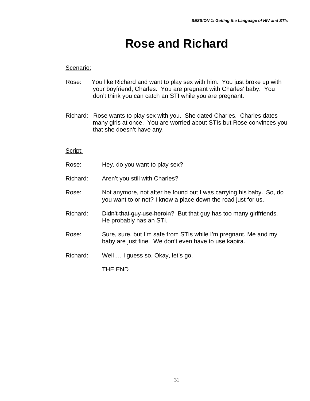### **Rose and Richard**

#### Scenario:

- Rose: You like Richard and want to play sex with him. You just broke up with your boyfriend, Charles. You are pregnant with Charles' baby. You don't think you can catch an STI while you are pregnant.
- Richard: Rose wants to play sex with you. She dated Charles. Charles dates many girls at once. You are worried about STIs but Rose convinces you that she doesn't have any.

#### Script:

- Rose: Hey, do you want to play sex?
- Richard: Aren't you still with Charles?
- Rose: Not anymore, not after he found out I was carrying his baby. So, do you want to or not? I know a place down the road just for us.
- Richard: Didn't that guy use heroin? But that guy has too many girlfriends. He probably has an STI.
- Rose: Sure, sure, but I'm safe from STIs while I'm pregnant. Me and my baby are just fine. We don't even have to use kapira.
- Richard: Well…. I guess so. Okay, let's go.

THE END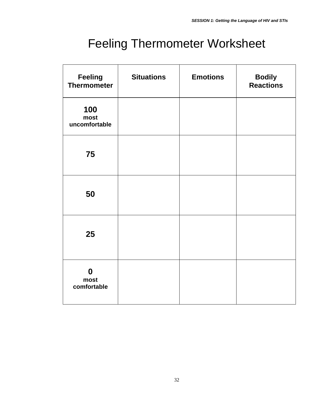### Feeling Thermometer Worksheet

| Feeling<br><b>Thermometer</b>           | <b>Situations</b> | <b>Emotions</b> | <b>Bodily</b><br><b>Reactions</b> |
|-----------------------------------------|-------------------|-----------------|-----------------------------------|
| 100<br>most<br>uncomfortable            |                   |                 |                                   |
| 75                                      |                   |                 |                                   |
| 50                                      |                   |                 |                                   |
| 25                                      |                   |                 |                                   |
| $\boldsymbol{0}$<br>most<br>comfortable |                   |                 |                                   |